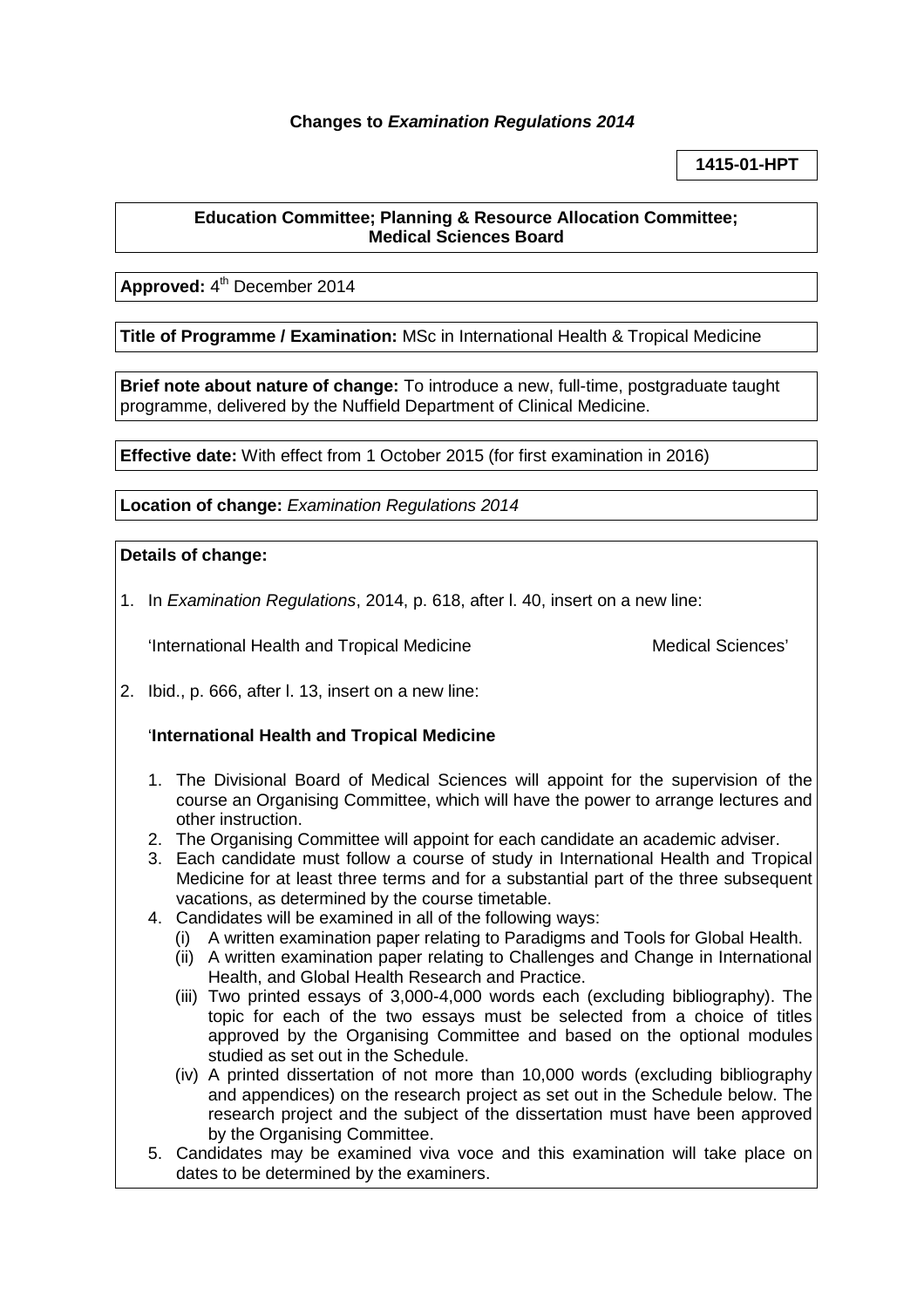# **Changes to** *Examination Regulations 2014*

# **1415-01-HPT**

#### **Education Committee; Planning & Resource Allocation Committee; Medical Sciences Board**

Approved: 4<sup>th</sup> December 2014

**Title of Programme / Examination:** MSc in International Health & Tropical Medicine

**Brief note about nature of change:** To introduce a new, full-time, postgraduate taught programme, delivered by the Nuffield Department of Clinical Medicine.

**Effective date:** With effect from 1 October 2015 (for first examination in 2016)

**Location of change:** *Examination Regulations 2014*

### **Details of change:**

1. In *Examination Regulations*, 2014, p. 618, after l. 40, insert on a new line:

'International Health and Tropical Medicine Medical Sciences'

2. Ibid., p. 666, after l. 13, insert on a new line:

### '**International Health and Tropical Medicine**

- 1. The Divisional Board of Medical Sciences will appoint for the supervision of the course an Organising Committee, which will have the power to arrange lectures and other instruction.
- 2. The Organising Committee will appoint for each candidate an academic adviser.
- 3. Each candidate must follow a course of study in International Health and Tropical Medicine for at least three terms and for a substantial part of the three subsequent vacations, as determined by the course timetable.
- 4. Candidates will be examined in all of the following ways:
	- (i) A written examination paper relating to Paradigms and Tools for Global Health.
	- (ii) A written examination paper relating to Challenges and Change in International Health, and Global Health Research and Practice.
	- (iii) Two printed essays of 3,000-4,000 words each (excluding bibliography). The topic for each of the two essays must be selected from a choice of titles approved by the Organising Committee and based on the optional modules studied as set out in the Schedule.
	- (iv) A printed dissertation of not more than 10,000 words (excluding bibliography and appendices) on the research project as set out in the Schedule below. The research project and the subject of the dissertation must have been approved by the Organising Committee.
- 5. Candidates may be examined viva voce and this examination will take place on dates to be determined by the examiners.